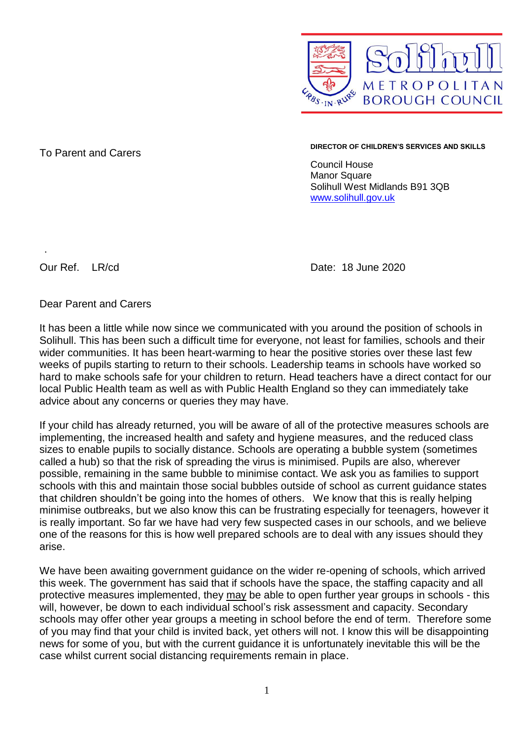

To Parent and Carers **DIRECTOR OF CHILDREN'S SERVICES AND SKILLS**

Council House Manor Square Solihull West Midlands B91 3QB [www.solihull.gov.uk](http://www.solihull.gov.uk/)

.

Our Ref. LR/cd Date: 18 June 2020

Dear Parent and Carers

It has been a little while now since we communicated with you around the position of schools in Solihull. This has been such a difficult time for everyone, not least for families, schools and their wider communities. It has been heart-warming to hear the positive stories over these last few weeks of pupils starting to return to their schools. Leadership teams in schools have worked so hard to make schools safe for your children to return. Head teachers have a direct contact for our local Public Health team as well as with Public Health England so they can immediately take advice about any concerns or queries they may have.

If your child has already returned, you will be aware of all of the protective measures schools are implementing, the increased health and safety and hygiene measures, and the reduced class sizes to enable pupils to socially distance. Schools are operating a bubble system (sometimes called a hub) so that the risk of spreading the virus is minimised. Pupils are also, wherever possible, remaining in the same bubble to minimise contact. We ask you as families to support schools with this and maintain those social bubbles outside of school as current guidance states that children shouldn't be going into the homes of others. We know that this is really helping minimise outbreaks, but we also know this can be frustrating especially for teenagers, however it is really important. So far we have had very few suspected cases in our schools, and we believe one of the reasons for this is how well prepared schools are to deal with any issues should they arise.

We have been awaiting government guidance on the wider re-opening of schools, which arrived this week. The government has said that if schools have the space, the staffing capacity and all protective measures implemented, they may be able to open further year groups in schools - this will, however, be down to each individual school's risk assessment and capacity. Secondary schools may offer other year groups a meeting in school before the end of term. Therefore some of you may find that your child is invited back, yet others will not. I know this will be disappointing news for some of you, but with the current guidance it is unfortunately inevitable this will be the case whilst current social distancing requirements remain in place.